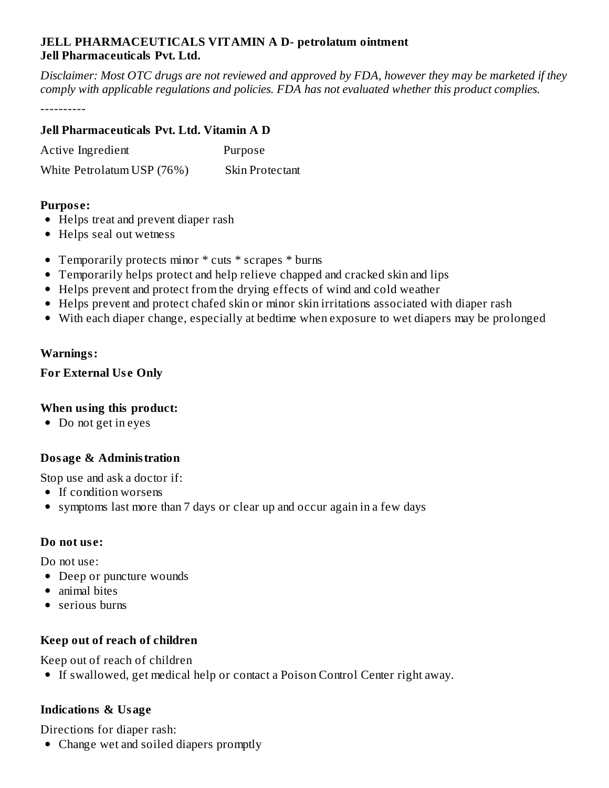#### **JELL PHARMACEUTICALS VITAMIN A D- petrolatum ointment Jell Pharmaceuticals Pvt. Ltd.**

Disclaimer: Most OTC drugs are not reviewed and approved by FDA, however they may be marketed if they *comply with applicable regulations and policies. FDA has not evaluated whether this product complies.*

----------

#### **Jell Pharmaceuticals Pvt. Ltd. Vitamin A D**

| Active Ingredient          | Purpose                |
|----------------------------|------------------------|
| White Petrolatum USP (76%) | <b>Skin Protectant</b> |

#### **Purpos e:**

- Helps treat and prevent diaper rash
- Helps seal out wetness
- Temporarily protects minor \* cuts \* scrapes \* burns
- Temporarily helps protect and help relieve chapped and cracked skin and lips
- Helps prevent and protect from the drying effects of wind and cold weather
- Helps prevent and protect chafed skin or minor skin irritations associated with diaper rash
- With each diaper change, especially at bedtime when exposure to wet diapers may be prolonged

#### **Warnings:**

# **For External Us e Only**

# **When using this product:**

• Do not get in eyes

# **Dosage & Administration**

Stop use and ask a doctor if:

- If condition worsens
- symptoms last more than 7 days or clear up and occur again in a few days

#### **Do not us e:**

Do not use:

- Deep or puncture wounds
- animal bites
- serious burns

# **Keep out of reach of children**

Keep out of reach of children

If swallowed, get medical help or contact a Poison Control Center right away.

# **Indications & Usage**

Directions for diaper rash:

• Change wet and soiled diapers promptly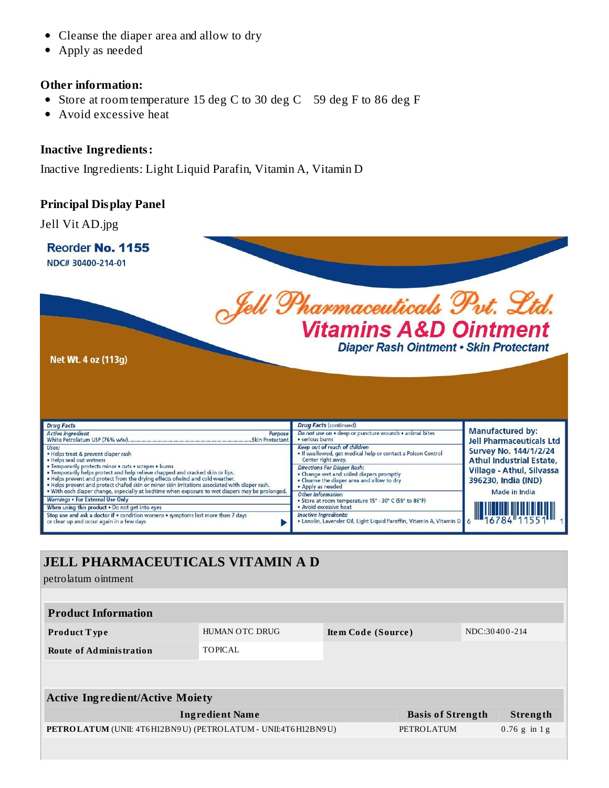- Cleanse the diaper area and allow to dry
- Apply as needed

#### **Other information:**

- Store at room temperature 15 deg C to 30 deg C 59 deg F to 86 deg F
- Avoid excessive heat

#### **Inactive Ingredients:**

Inactive Ingredients: Light Liquid Parafin, Vitamin A, Vitamin D

#### **Principal Display Panel**

Jell Vit AD.jpg



# **JELL PHARMACEUTICALS VITAMIN A D** petrolatum ointment **Product Information Product T ype** HUMAN OTC DRUG **Ite m Code (Source )** NDC:30 40 0 -214 **Route of Administration** TOPICAL **Active Ingredient/Active Moiety Ingredient Name Basis of Strength Strength PETROLATUM** (UNII: 4T6H12BN9U) (PETROLATUM - UNII:4T6H12BN9U) PETROLATUM 0.76 g in 1 g